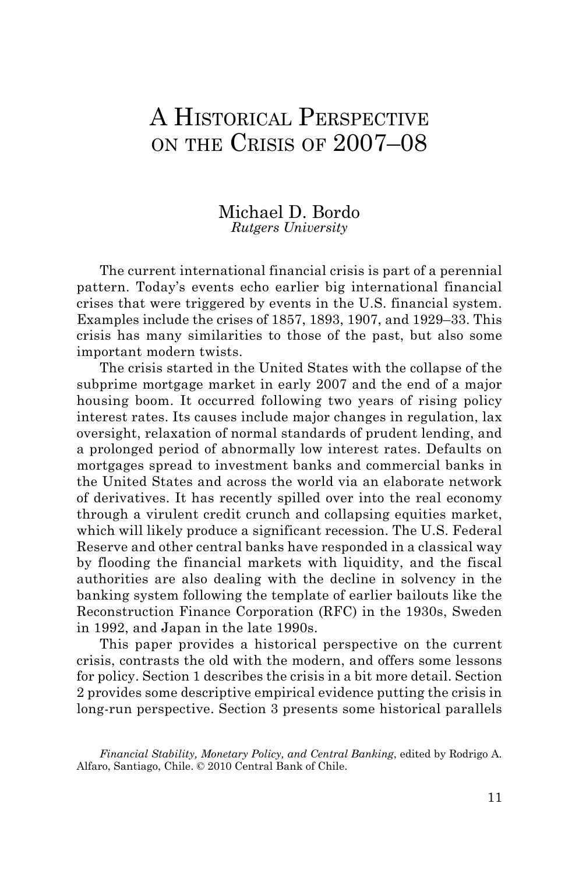# A HISTORICAL PERSPECTIVE on the Crisis of 2007–08

### Michael D. Bordo *Rutgers University*

The current international financial crisis is part of a perennial pattern. Today's events echo earlier big international financial crises that were triggered by events in the U.S. financial system. Examples include the crises of 1857, 1893, 1907, and 1929–33. This crisis has many similarities to those of the past, but also some important modern twists.

The crisis started in the United States with the collapse of the subprime mortgage market in early 2007 and the end of a major housing boom. It occurred following two years of rising policy interest rates. Its causes include major changes in regulation, lax oversight, relaxation of normal standards of prudent lending, and a prolonged period of abnormally low interest rates. Defaults on mortgages spread to investment banks and commercial banks in the United States and across the world via an elaborate network of derivatives. It has recently spilled over into the real economy through a virulent credit crunch and collapsing equities market, which will likely produce a significant recession. The U.S. Federal Reserve and other central banks have responded in a classical way by flooding the financial markets with liquidity, and the fiscal authorities are also dealing with the decline in solvency in the banking system following the template of earlier bailouts like the Reconstruction Finance Corporation (RFC) in the 1930s, Sweden in 1992, and Japan in the late 1990s.

This paper provides a historical perspective on the current crisis, contrasts the old with the modern, and offers some lessons for policy. Section 1 describes the crisis in a bit more detail. Section 2 provides some descriptive empirical evidence putting the crisis in long-run perspective. Section 3 presents some historical parallels

*Financial Stability, Monetary Policy, and Central Banking*, edited by Rodrigo A. Alfaro, Santiago, Chile. © 2010 Central Bank of Chile.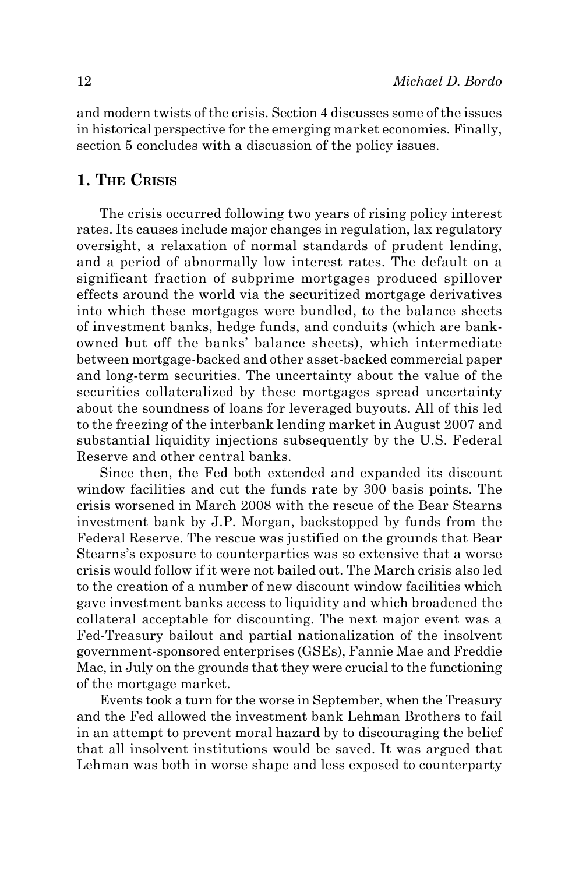and modern twists of the crisis. Section 4 discusses some of the issues in historical perspective for the emerging market economies. Finally, section 5 concludes with a discussion of the policy issues.

# **1. The Crisis**

The crisis occurred following two years of rising policy interest rates. Its causes include major changes in regulation, lax regulatory oversight, a relaxation of normal standards of prudent lending, and a period of abnormally low interest rates. The default on a significant fraction of subprime mortgages produced spillover effects around the world via the securitized mortgage derivatives into which these mortgages were bundled, to the balance sheets of investment banks, hedge funds, and conduits (which are bankowned but off the banks' balance sheets), which intermediate between mortgage-backed and other asset-backed commercial paper and long-term securities. The uncertainty about the value of the securities collateralized by these mortgages spread uncertainty about the soundness of loans for leveraged buyouts. All of this led to the freezing of the interbank lending market in August 2007 and substantial liquidity injections subsequently by the U.S. Federal Reserve and other central banks.

Since then, the Fed both extended and expanded its discount window facilities and cut the funds rate by 300 basis points. The crisis worsened in March 2008 with the rescue of the Bear Stearns investment bank by J.P. Morgan, backstopped by funds from the Federal Reserve. The rescue was justified on the grounds that Bear Stearns's exposure to counterparties was so extensive that a worse crisis would follow if it were not bailed out. The March crisis also led to the creation of a number of new discount window facilities which gave investment banks access to liquidity and which broadened the collateral acceptable for discounting. The next major event was a Fed-Treasury bailout and partial nationalization of the insolvent government-sponsored enterprises (GSEs), Fannie Mae and Freddie Mac, in July on the grounds that they were crucial to the functioning of the mortgage market.

Events took a turn for the worse in September, when the Treasury and the Fed allowed the investment bank Lehman Brothers to fail in an attempt to prevent moral hazard by to discouraging the belief that all insolvent institutions would be saved. It was argued that Lehman was both in worse shape and less exposed to counterparty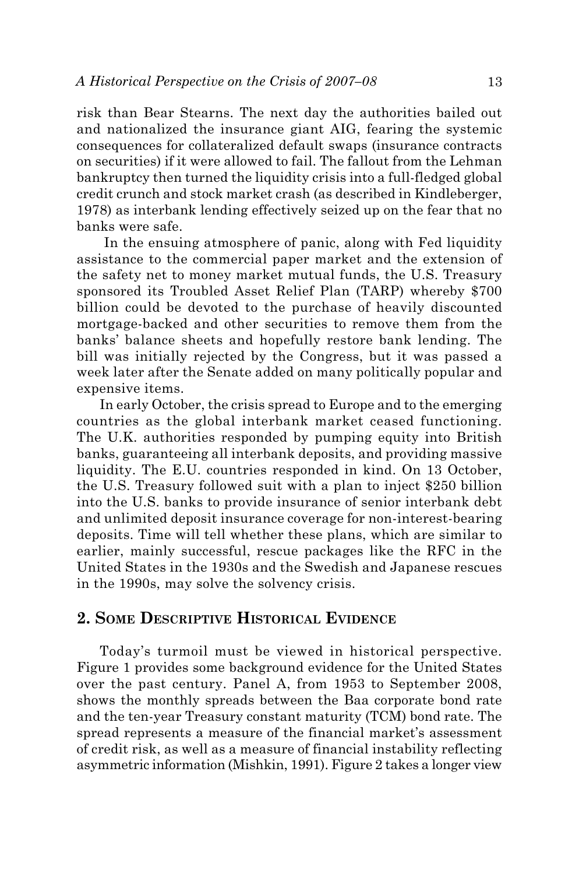risk than Bear Stearns. The next day the authorities bailed out and nationalized the insurance giant AIG, fearing the systemic consequences for collateralized default swaps (insurance contracts on securities) if it were allowed to fail. The fallout from the Lehman bankruptcy then turned the liquidity crisis into a full-fledged global credit crunch and stock market crash (as described in Kindleberger, 1978) as interbank lending effectively seized up on the fear that no banks were safe.

 In the ensuing atmosphere of panic, along with Fed liquidity assistance to the commercial paper market and the extension of the safety net to money market mutual funds, the U.S. Treasury sponsored its Troubled Asset Relief Plan (TARP) whereby \$700 billion could be devoted to the purchase of heavily discounted mortgage-backed and other securities to remove them from the banks' balance sheets and hopefully restore bank lending. The bill was initially rejected by the Congress, but it was passed a week later after the Senate added on many politically popular and expensive items.

In early October, the crisis spread to Europe and to the emerging countries as the global interbank market ceased functioning. The U.K. authorities responded by pumping equity into British banks, guaranteeing all interbank deposits, and providing massive liquidity. The E.U. countries responded in kind. On 13 October, the U.S. Treasury followed suit with a plan to inject \$250 billion into the U.S. banks to provide insurance of senior interbank debt and unlimited deposit insurance coverage for non-interest-bearing deposits. Time will tell whether these plans, which are similar to earlier, mainly successful, rescue packages like the RFC in the United States in the 1930s and the Swedish and Japanese rescues in the 1990s, may solve the solvency crisis.

# **2. Some Descriptive Historical Evidence**

Today's turmoil must be viewed in historical perspective. Figure 1 provides some background evidence for the United States over the past century. Panel A, from 1953 to September 2008, shows the monthly spreads between the Baa corporate bond rate and the ten-year Treasury constant maturity (TCM) bond rate. The spread represents a measure of the financial market's assessment of credit risk, as well as a measure of financial instability reflecting asymmetric information (Mishkin, 1991). Figure 2 takes a longer view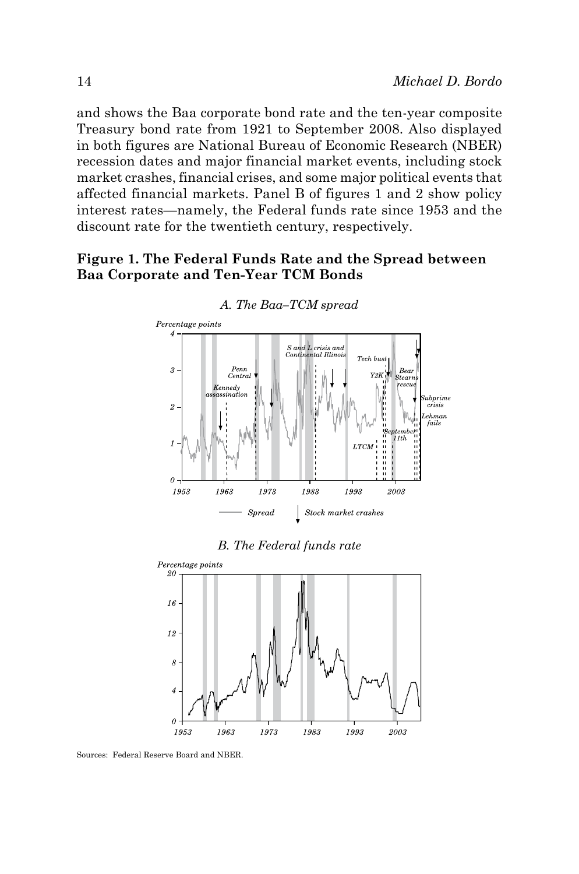and shows the Baa corporate bond rate and the ten-year composite Treasury bond rate from 1921 to September 2008. Also displayed in both figures are National Bureau of Economic Research (NBER) recession dates and major financial market events, including stock market crashes, financial crises, and some major political events that affected financial markets. Panel B of figures 1 and 2 show policy interest rates—namely, the Federal funds rate since 1953 and the discount rate for the twentieth century, respectively.

# **Figure 1. The Federal Funds Rate and the Spread between Baa Corporate and Ten-Year TCM Bonds**



#### *A. The Baa–TCM spread*

*B. The Federal funds rate*



Sources: Federal Reserve Board and NBER.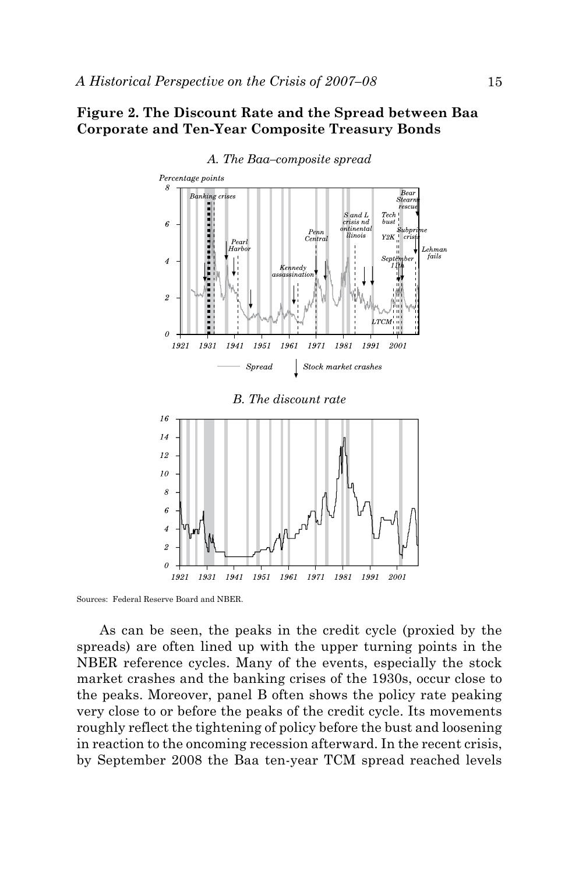#### **Figure 2. The Discount Rate and the Spread between Baa Corporate and Ten-Year Composite Treasury Bonds**



#### *A. The Baa–composite spread*

Sources: Federal Reserve Board and NBER.

As can be seen, the peaks in the credit cycle (proxied by the spreads) are often lined up with the upper turning points in the NBER reference cycles. Many of the events, especially the stock market crashes and the banking crises of the 1930s, occur close to the peaks. Moreover, panel B often shows the policy rate peaking very close to or before the peaks of the credit cycle. Its movements roughly reflect the tightening of policy before the bust and loosening in reaction to the oncoming recession afterward. In the recent crisis, by September 2008 the Baa ten-year TCM spread reached levels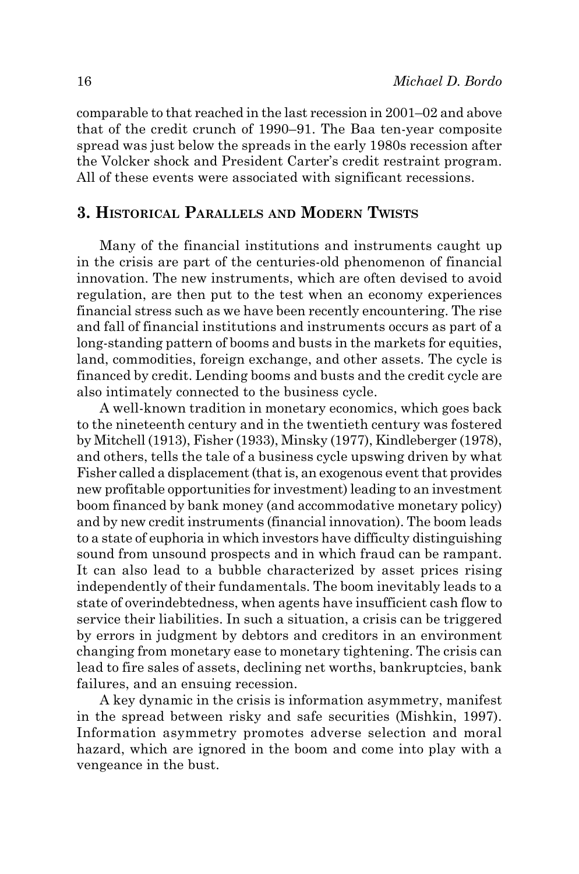comparable to that reached in the last recession in 2001–02 and above that of the credit crunch of 1990–91. The Baa ten-year composite spread was just below the spreads in the early 1980s recession after the Volcker shock and President Carter's credit restraint program. All of these events were associated with significant recessions.

# **3. Historical Parallels and Modern Twists**

Many of the financial institutions and instruments caught up in the crisis are part of the centuries-old phenomenon of financial innovation. The new instruments, which are often devised to avoid regulation, are then put to the test when an economy experiences financial stress such as we have been recently encountering. The rise and fall of financial institutions and instruments occurs as part of a long-standing pattern of booms and busts in the markets for equities, land, commodities, foreign exchange, and other assets. The cycle is financed by credit. Lending booms and busts and the credit cycle are also intimately connected to the business cycle.

A well-known tradition in monetary economics, which goes back to the nineteenth century and in the twentieth century was fostered by Mitchell (1913), Fisher (1933), Minsky (1977), Kindleberger (1978), and others, tells the tale of a business cycle upswing driven by what Fisher called a displacement (that is, an exogenous event that provides new profitable opportunities for investment) leading to an investment boom financed by bank money (and accommodative monetary policy) and by new credit instruments (financial innovation). The boom leads to a state of euphoria in which investors have difficulty distinguishing sound from unsound prospects and in which fraud can be rampant. It can also lead to a bubble characterized by asset prices rising independently of their fundamentals. The boom inevitably leads to a state of overindebtedness, when agents have insufficient cash flow to service their liabilities. In such a situation, a crisis can be triggered by errors in judgment by debtors and creditors in an environment changing from monetary ease to monetary tightening. The crisis can lead to fire sales of assets, declining net worths, bankruptcies, bank failures, and an ensuing recession.

A key dynamic in the crisis is information asymmetry, manifest in the spread between risky and safe securities (Mishkin, 1997). Information asymmetry promotes adverse selection and moral hazard, which are ignored in the boom and come into play with a vengeance in the bust.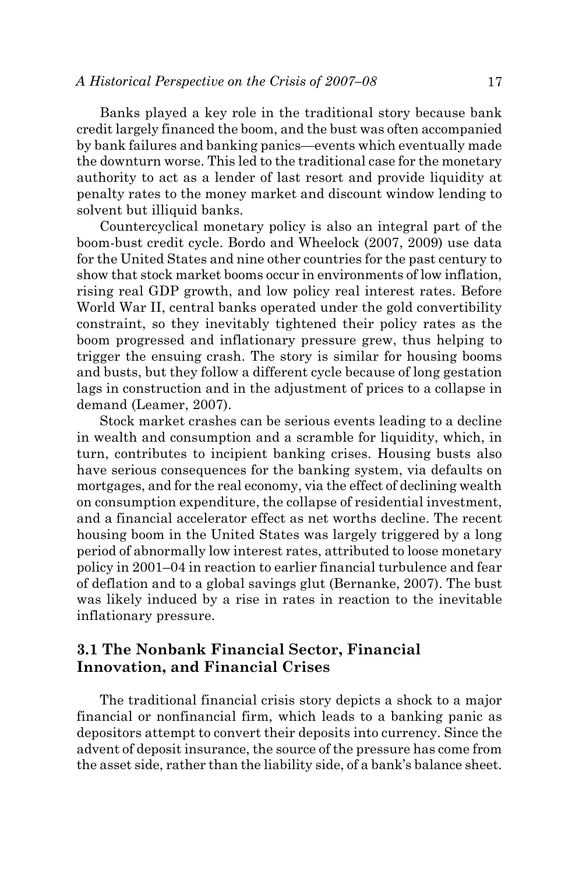Banks played a key role in the traditional story because bank credit largely financed the boom, and the bust was often accompanied by bank failures and banking panics—events which eventually made the downturn worse. This led to the traditional case for the monetary authority to act as a lender of last resort and provide liquidity at penalty rates to the money market and discount window lending to solvent but illiquid banks.

Countercyclical monetary policy is also an integral part of the boom-bust credit cycle. Bordo and Wheelock (2007, 2009) use data for the United States and nine other countries for the past century to show that stock market booms occur in environments of low inflation, rising real GDP growth, and low policy real interest rates. Before World War II, central banks operated under the gold convertibility constraint, so they inevitably tightened their policy rates as the boom progressed and inflationary pressure grew, thus helping to trigger the ensuing crash. The story is similar for housing booms and busts, but they follow a different cycle because of long gestation lags in construction and in the adjustment of prices to a collapse in demand (Leamer, 2007).

Stock market crashes can be serious events leading to a decline in wealth and consumption and a scramble for liquidity, which, in turn, contributes to incipient banking crises. Housing busts also have serious consequences for the banking system, via defaults on mortgages, and for the real economy, via the effect of declining wealth on consumption expenditure, the collapse of residential investment, and a financial accelerator effect as net worths decline. The recent housing boom in the United States was largely triggered by a long period of abnormally low interest rates, attributed to loose monetary policy in 2001–04 in reaction to earlier financial turbulence and fear of deflation and to a global savings glut (Bernanke, 2007). The bust was likely induced by a rise in rates in reaction to the inevitable inflationary pressure.

# **3.1 The Nonbank Financial Sector, Financial Innovation, and Financial Crises**

The traditional financial crisis story depicts a shock to a major financial or nonfinancial firm, which leads to a banking panic as depositors attempt to convert their deposits into currency. Since the advent of deposit insurance, the source of the pressure has come from the asset side, rather than the liability side, of a bank's balance sheet.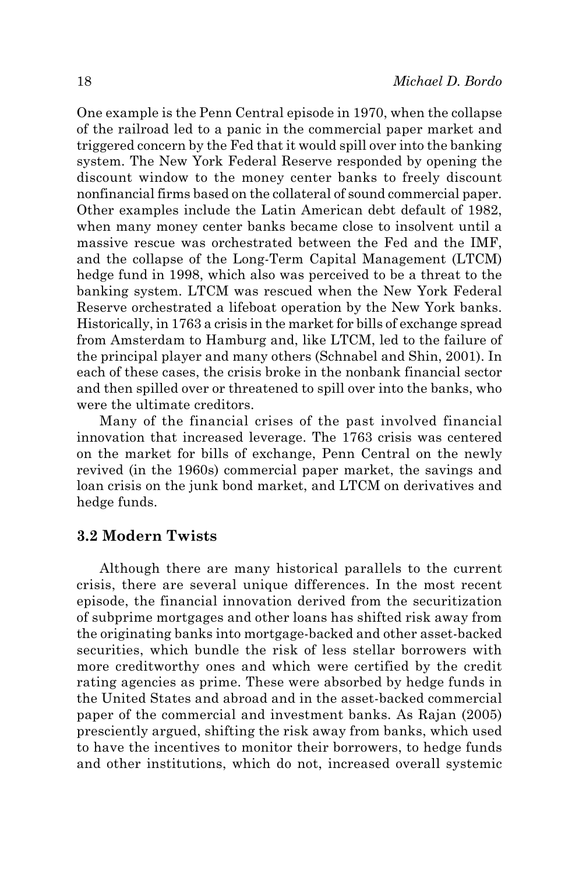One example is the Penn Central episode in 1970, when the collapse of the railroad led to a panic in the commercial paper market and triggered concern by the Fed that it would spill over into the banking system. The New York Federal Reserve responded by opening the discount window to the money center banks to freely discount nonfinancial firms based on the collateral of sound commercial paper. Other examples include the Latin American debt default of 1982, when many money center banks became close to insolvent until a massive rescue was orchestrated between the Fed and the IMF, and the collapse of the Long-Term Capital Management (LTCM) hedge fund in 1998, which also was perceived to be a threat to the banking system. LTCM was rescued when the New York Federal Reserve orchestrated a lifeboat operation by the New York banks. Historically, in 1763 a crisis in the market for bills of exchange spread from Amsterdam to Hamburg and, like LTCM, led to the failure of the principal player and many others (Schnabel and Shin, 2001). In each of these cases, the crisis broke in the nonbank financial sector and then spilled over or threatened to spill over into the banks, who were the ultimate creditors.

Many of the financial crises of the past involved financial innovation that increased leverage. The 1763 crisis was centered on the market for bills of exchange, Penn Central on the newly revived (in the 1960s) commercial paper market, the savings and loan crisis on the junk bond market, and LTCM on derivatives and hedge funds.

#### **3.2 Modern Twists**

Although there are many historical parallels to the current crisis, there are several unique differences. In the most recent episode, the financial innovation derived from the securitization of subprime mortgages and other loans has shifted risk away from the originating banks into mortgage-backed and other asset-backed securities, which bundle the risk of less stellar borrowers with more creditworthy ones and which were certified by the credit rating agencies as prime. These were absorbed by hedge funds in the United States and abroad and in the asset-backed commercial paper of the commercial and investment banks. As Rajan (2005) presciently argued, shifting the risk away from banks, which used to have the incentives to monitor their borrowers, to hedge funds and other institutions, which do not, increased overall systemic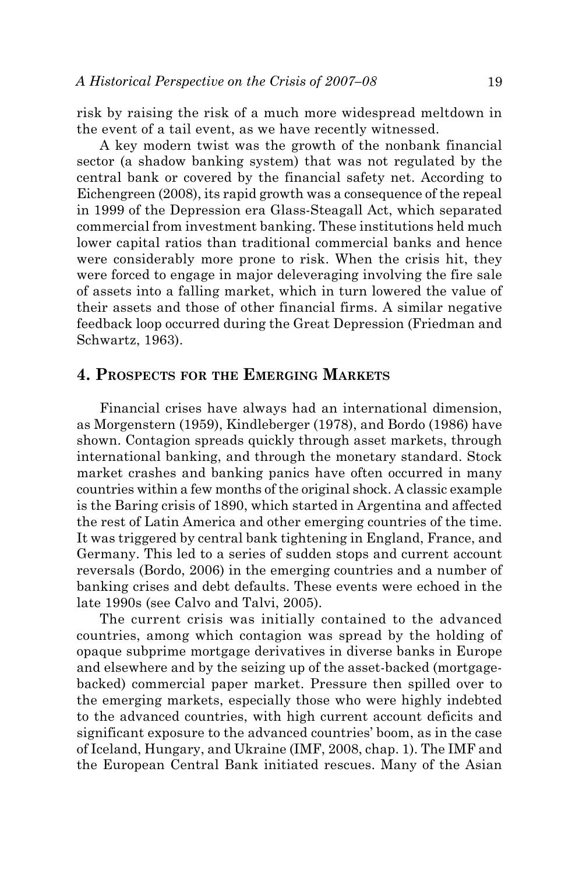risk by raising the risk of a much more widespread meltdown in the event of a tail event, as we have recently witnessed.

A key modern twist was the growth of the nonbank financial sector (a shadow banking system) that was not regulated by the central bank or covered by the financial safety net. According to Eichengreen (2008), its rapid growth was a consequence of the repeal in 1999 of the Depression era Glass-Steagall Act, which separated commercial from investment banking. These institutions held much lower capital ratios than traditional commercial banks and hence were considerably more prone to risk. When the crisis hit, they were forced to engage in major deleveraging involving the fire sale of assets into a falling market, which in turn lowered the value of their assets and those of other financial firms. A similar negative feedback loop occurred during the Great Depression (Friedman and Schwartz, 1963).

#### **4. Prospects for the Emerging Markets**

Financial crises have always had an international dimension, as Morgenstern (1959), Kindleberger (1978), and Bordo (1986) have shown. Contagion spreads quickly through asset markets, through international banking, and through the monetary standard. Stock market crashes and banking panics have often occurred in many countries within a few months of the original shock. A classic example is the Baring crisis of 1890, which started in Argentina and affected the rest of Latin America and other emerging countries of the time. It was triggered by central bank tightening in England, France, and Germany. This led to a series of sudden stops and current account reversals (Bordo, 2006) in the emerging countries and a number of banking crises and debt defaults. These events were echoed in the late 1990s (see Calvo and Talvi, 2005).

The current crisis was initially contained to the advanced countries, among which contagion was spread by the holding of opaque subprime mortgage derivatives in diverse banks in Europe and elsewhere and by the seizing up of the asset-backed (mortgagebacked) commercial paper market. Pressure then spilled over to the emerging markets, especially those who were highly indebted to the advanced countries, with high current account deficits and significant exposure to the advanced countries' boom, as in the case of Iceland, Hungary, and Ukraine (IMF, 2008, chap. 1). The IMF and the European Central Bank initiated rescues. Many of the Asian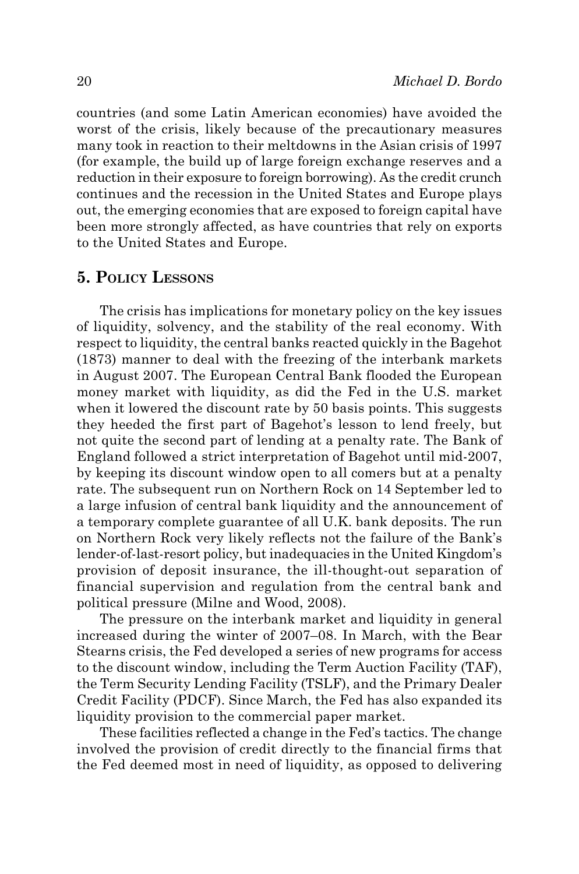countries (and some Latin American economies) have avoided the worst of the crisis, likely because of the precautionary measures many took in reaction to their meltdowns in the Asian crisis of 1997 (for example, the build up of large foreign exchange reserves and a reduction in their exposure to foreign borrowing). As the credit crunch continues and the recession in the United States and Europe plays out, the emerging economies that are exposed to foreign capital have been more strongly affected, as have countries that rely on exports to the United States and Europe.

# **5. Policy Lessons**

The crisis has implications for monetary policy on the key issues of liquidity, solvency, and the stability of the real economy. With respect to liquidity, the central banks reacted quickly in the Bagehot (1873) manner to deal with the freezing of the interbank markets in August 2007. The European Central Bank flooded the European money market with liquidity, as did the Fed in the U.S. market when it lowered the discount rate by 50 basis points. This suggests they heeded the first part of Bagehot's lesson to lend freely, but not quite the second part of lending at a penalty rate. The Bank of England followed a strict interpretation of Bagehot until mid-2007, by keeping its discount window open to all comers but at a penalty rate. The subsequent run on Northern Rock on 14 September led to a large infusion of central bank liquidity and the announcement of a temporary complete guarantee of all U.K. bank deposits. The run on Northern Rock very likely reflects not the failure of the Bank's lender-of-last-resort policy, but inadequacies in the United Kingdom's provision of deposit insurance, the ill-thought-out separation of financial supervision and regulation from the central bank and political pressure (Milne and Wood, 2008).

The pressure on the interbank market and liquidity in general increased during the winter of 2007–08. In March, with the Bear Stearns crisis, the Fed developed a series of new programs for access to the discount window, including the Term Auction Facility (TAF), the Term Security Lending Facility (TSLF), and the Primary Dealer Credit Facility (PDCF). Since March, the Fed has also expanded its liquidity provision to the commercial paper market.

These facilities reflected a change in the Fed's tactics. The change involved the provision of credit directly to the financial firms that the Fed deemed most in need of liquidity, as opposed to delivering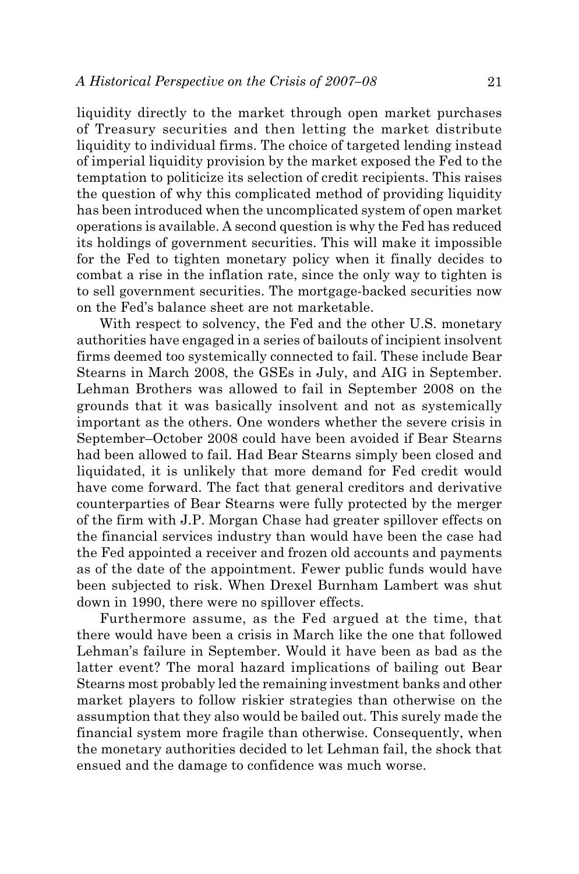liquidity directly to the market through open market purchases of Treasury securities and then letting the market distribute liquidity to individual firms. The choice of targeted lending instead of imperial liquidity provision by the market exposed the Fed to the temptation to politicize its selection of credit recipients. This raises the question of why this complicated method of providing liquidity has been introduced when the uncomplicated system of open market operations is available. A second question is why the Fed has reduced its holdings of government securities. This will make it impossible for the Fed to tighten monetary policy when it finally decides to combat a rise in the inflation rate, since the only way to tighten is to sell government securities. The mortgage-backed securities now on the Fed's balance sheet are not marketable.

With respect to solvency, the Fed and the other U.S. monetary authorities have engaged in a series of bailouts of incipient insolvent firms deemed too systemically connected to fail. These include Bear Stearns in March 2008, the GSEs in July, and AIG in September. Lehman Brothers was allowed to fail in September 2008 on the grounds that it was basically insolvent and not as systemically important as the others. One wonders whether the severe crisis in September–October 2008 could have been avoided if Bear Stearns had been allowed to fail. Had Bear Stearns simply been closed and liquidated, it is unlikely that more demand for Fed credit would have come forward. The fact that general creditors and derivative counterparties of Bear Stearns were fully protected by the merger of the firm with J.P. Morgan Chase had greater spillover effects on the financial services industry than would have been the case had the Fed appointed a receiver and frozen old accounts and payments as of the date of the appointment. Fewer public funds would have been subjected to risk. When Drexel Burnham Lambert was shut down in 1990, there were no spillover effects.

Furthermore assume, as the Fed argued at the time, that there would have been a crisis in March like the one that followed Lehman's failure in September. Would it have been as bad as the latter event? The moral hazard implications of bailing out Bear Stearns most probably led the remaining investment banks and other market players to follow riskier strategies than otherwise on the assumption that they also would be bailed out. This surely made the financial system more fragile than otherwise. Consequently, when the monetary authorities decided to let Lehman fail, the shock that ensued and the damage to confidence was much worse.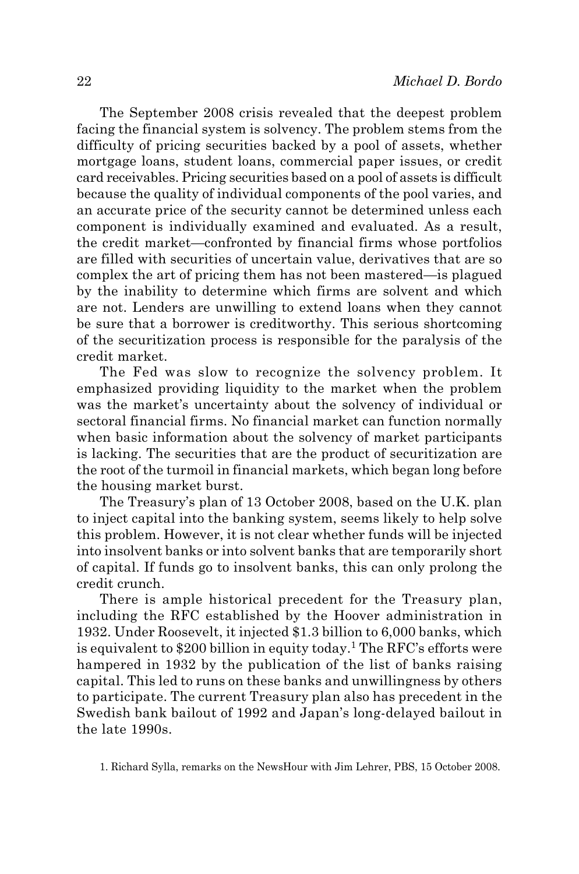The September 2008 crisis revealed that the deepest problem facing the financial system is solvency. The problem stems from the difficulty of pricing securities backed by a pool of assets, whether mortgage loans, student loans, commercial paper issues, or credit card receivables. Pricing securities based on a pool of assets is difficult because the quality of individual components of the pool varies, and an accurate price of the security cannot be determined unless each component is individually examined and evaluated. As a result, the credit market—confronted by financial firms whose portfolios are filled with securities of uncertain value, derivatives that are so complex the art of pricing them has not been mastered—is plagued by the inability to determine which firms are solvent and which are not. Lenders are unwilling to extend loans when they cannot be sure that a borrower is creditworthy. This serious shortcoming of the securitization process is responsible for the paralysis of the credit market.

The Fed was slow to recognize the solvency problem. It emphasized providing liquidity to the market when the problem was the market's uncertainty about the solvency of individual or sectoral financial firms. No financial market can function normally when basic information about the solvency of market participants is lacking. The securities that are the product of securitization are the root of the turmoil in financial markets, which began long before the housing market burst.

The Treasury's plan of 13 October 2008, based on the U.K. plan to inject capital into the banking system, seems likely to help solve this problem. However, it is not clear whether funds will be injected into insolvent banks or into solvent banks that are temporarily short of capital. If funds go to insolvent banks, this can only prolong the credit crunch.

There is ample historical precedent for the Treasury plan, including the RFC established by the Hoover administration in 1932. Under Roosevelt, it injected \$1.3 billion to 6,000 banks, which is equivalent to \$200 billion in equity today.<sup>1</sup> The RFC's efforts were hampered in 1932 by the publication of the list of banks raising capital. This led to runs on these banks and unwillingness by others to participate. The current Treasury plan also has precedent in the Swedish bank bailout of 1992 and Japan's long-delayed bailout in the late 1990s.

1. Richard Sylla, remarks on the NewsHour with Jim Lehrer, PBS, 15 October 2008.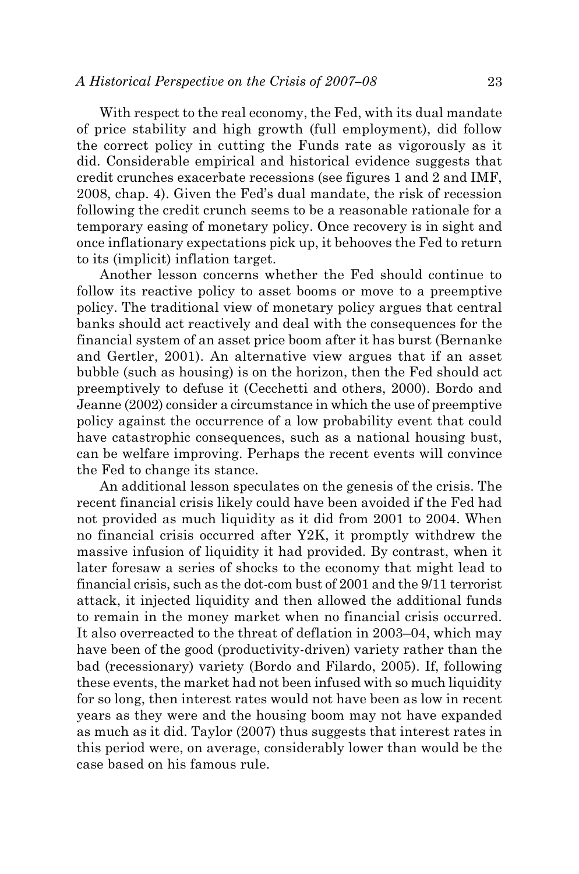With respect to the real economy, the Fed, with its dual mandate of price stability and high growth (full employment), did follow the correct policy in cutting the Funds rate as vigorously as it did. Considerable empirical and historical evidence suggests that credit crunches exacerbate recessions (see figures 1 and 2 and IMF, 2008, chap. 4). Given the Fed's dual mandate, the risk of recession following the credit crunch seems to be a reasonable rationale for a temporary easing of monetary policy. Once recovery is in sight and once inflationary expectations pick up, it behooves the Fed to return to its (implicit) inflation target.

Another lesson concerns whether the Fed should continue to follow its reactive policy to asset booms or move to a preemptive policy. The traditional view of monetary policy argues that central banks should act reactively and deal with the consequences for the financial system of an asset price boom after it has burst (Bernanke and Gertler, 2001). An alternative view argues that if an asset bubble (such as housing) is on the horizon, then the Fed should act preemptively to defuse it (Cecchetti and others, 2000). Bordo and Jeanne (2002) consider a circumstance in which the use of preemptive policy against the occurrence of a low probability event that could have catastrophic consequences, such as a national housing bust, can be welfare improving. Perhaps the recent events will convince the Fed to change its stance.

An additional lesson speculates on the genesis of the crisis. The recent financial crisis likely could have been avoided if the Fed had not provided as much liquidity as it did from 2001 to 2004. When no financial crisis occurred after Y2K, it promptly withdrew the massive infusion of liquidity it had provided. By contrast, when it later foresaw a series of shocks to the economy that might lead to financial crisis, such as the dot-com bust of 2001 and the 9/11 terrorist attack, it injected liquidity and then allowed the additional funds to remain in the money market when no financial crisis occurred. It also overreacted to the threat of deflation in 2003–04, which may have been of the good (productivity-driven) variety rather than the bad (recessionary) variety (Bordo and Filardo, 2005). If, following these events, the market had not been infused with so much liquidity for so long, then interest rates would not have been as low in recent years as they were and the housing boom may not have expanded as much as it did. Taylor (2007) thus suggests that interest rates in this period were, on average, considerably lower than would be the case based on his famous rule.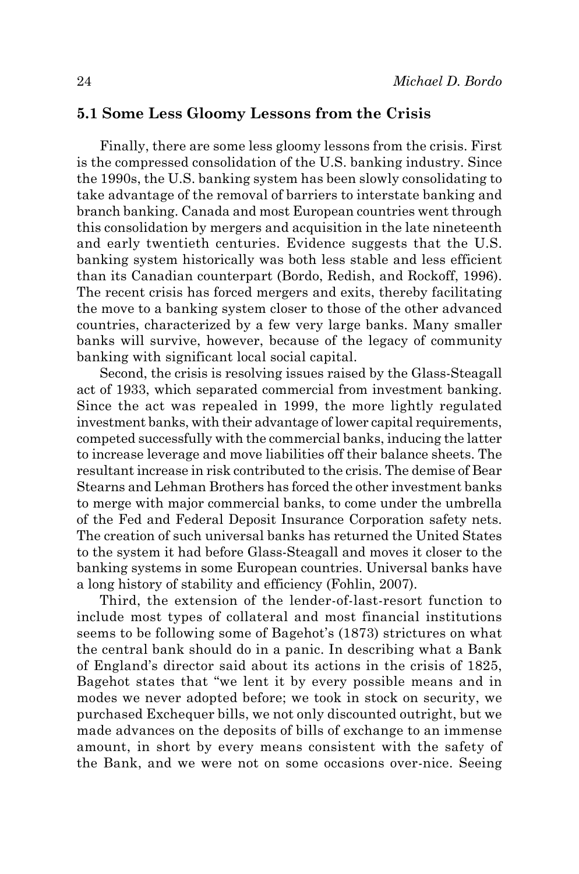#### **5.1 Some Less Gloomy Lessons from the Crisis**

Finally, there are some less gloomy lessons from the crisis. First is the compressed consolidation of the U.S. banking industry. Since the 1990s, the U.S. banking system has been slowly consolidating to take advantage of the removal of barriers to interstate banking and branch banking. Canada and most European countries went through this consolidation by mergers and acquisition in the late nineteenth and early twentieth centuries. Evidence suggests that the U.S. banking system historically was both less stable and less efficient than its Canadian counterpart (Bordo, Redish, and Rockoff, 1996). The recent crisis has forced mergers and exits, thereby facilitating the move to a banking system closer to those of the other advanced countries, characterized by a few very large banks. Many smaller banks will survive, however, because of the legacy of community banking with significant local social capital.

Second, the crisis is resolving issues raised by the Glass-Steagall act of 1933, which separated commercial from investment banking. Since the act was repealed in 1999, the more lightly regulated investment banks, with their advantage of lower capital requirements, competed successfully with the commercial banks, inducing the latter to increase leverage and move liabilities off their balance sheets. The resultant increase in risk contributed to the crisis. The demise of Bear Stearns and Lehman Brothers has forced the other investment banks to merge with major commercial banks, to come under the umbrella of the Fed and Federal Deposit Insurance Corporation safety nets. The creation of such universal banks has returned the United States to the system it had before Glass-Steagall and moves it closer to the banking systems in some European countries. Universal banks have a long history of stability and efficiency (Fohlin, 2007).

Third, the extension of the lender-of-last-resort function to include most types of collateral and most financial institutions seems to be following some of Bagehot's (1873) strictures on what the central bank should do in a panic. In describing what a Bank of England's director said about its actions in the crisis of 1825, Bagehot states that "we lent it by every possible means and in modes we never adopted before; we took in stock on security, we purchased Exchequer bills, we not only discounted outright, but we made advances on the deposits of bills of exchange to an immense amount, in short by every means consistent with the safety of the Bank, and we were not on some occasions over-nice. Seeing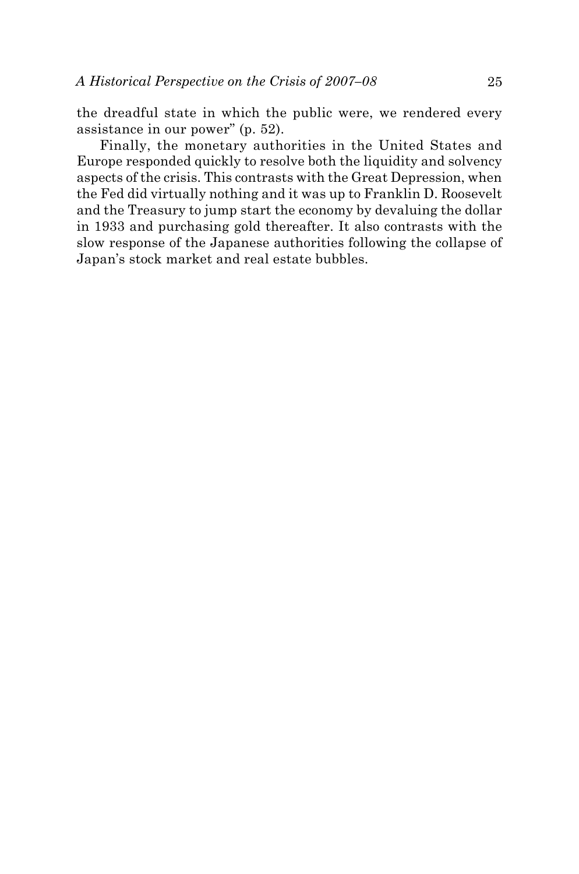the dreadful state in which the public were, we rendered every assistance in our power" (p. 52).

Finally, the monetary authorities in the United States and Europe responded quickly to resolve both the liquidity and solvency aspects of the crisis. This contrasts with the Great Depression, when the Fed did virtually nothing and it was up to Franklin D. Roosevelt and the Treasury to jump start the economy by devaluing the dollar in 1933 and purchasing gold thereafter. It also contrasts with the slow response of the Japanese authorities following the collapse of Japan's stock market and real estate bubbles.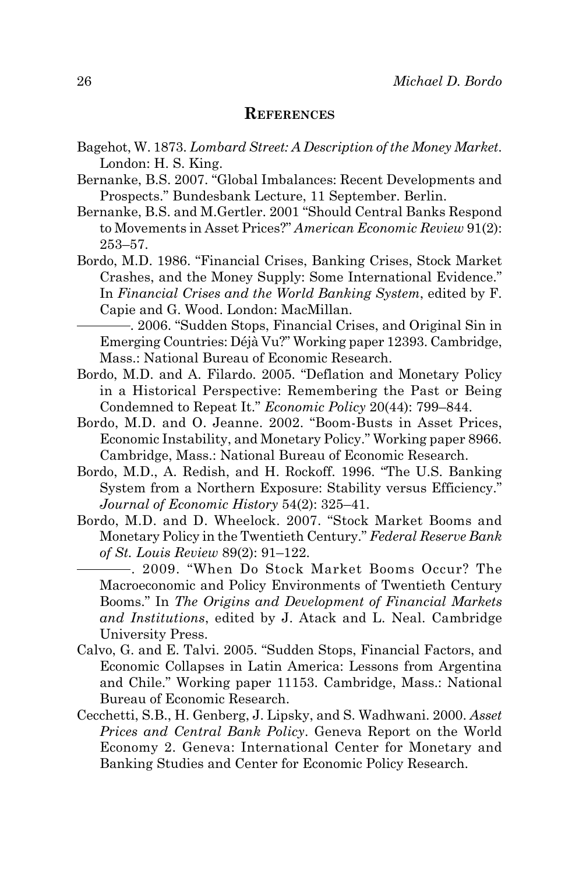#### **References**

- Bagehot, W. 1873. *Lombard Street: A Description of the Money Market*. London: H. S. King.
- Bernanke, B.S. 2007. "Global Imbalances: Recent Developments and Prospects." Bundesbank Lecture, 11 September. Berlin.
- Bernanke, B.S. and M.Gertler. 2001 "Should Central Banks Respond to Movements in Asset Prices?" *American Economic Review* 91(2): 253–57.
- Bordo, M.D. 1986. "Financial Crises, Banking Crises, Stock Market Crashes, and the Money Supply: Some International Evidence." In *Financial Crises and the World Banking System*, edited by F. Capie and G. Wood. London: MacMillan.
	- . 2006. "Sudden Stops, Financial Crises, and Original Sin in Emerging Countries: Déjà Vu?" Working paper 12393. Cambridge, Mass.: National Bureau of Economic Research.
- Bordo, M.D. and A. Filardo. 2005. "Deflation and Monetary Policy in a Historical Perspective: Remembering the Past or Being Condemned to Repeat It." *Economic Policy* 20(44): 799–844.
- Bordo, M.D. and O. Jeanne. 2002. "Boom-Busts in Asset Prices, Economic Instability, and Monetary Policy." Working paper 8966. Cambridge, Mass.: National Bureau of Economic Research.
- Bordo, M.D., A. Redish, and H. Rockoff. 1996. "The U.S. Banking System from a Northern Exposure: Stability versus Efficiency." *Journal of Economic History* 54(2): 325–41.
- Bordo, M.D. and D. Wheelock. 2007. "Stock Market Booms and Monetary Policy in the Twentieth Century." *Federal Reserve Bank of St. Louis Review* 89(2): 91–122.

. 2009. "When Do Stock Market Booms Occur? The Macroeconomic and Policy Environments of Twentieth Century Booms." In *The Origins and Development of Financial Markets and Institutions*, edited by J. Atack and L. Neal. Cambridge University Press.

- Calvo, G. and E. Talvi. 2005. "Sudden Stops, Financial Factors, and Economic Collapses in Latin America: Lessons from Argentina and Chile." Working paper 11153. Cambridge, Mass.: National Bureau of Economic Research.
- Cecchetti, S.B., H. Genberg, J. Lipsky, and S. Wadhwani. 2000. *Asset Prices and Central Bank Policy*. Geneva Report on the World Economy 2. Geneva: International Center for Monetary and Banking Studies and Center for Economic Policy Research.